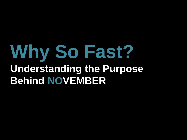# **Why So Fast? Understanding the Purpose Behind NOVEMBER**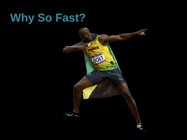# **Why So Fast?**

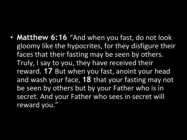• **Matthew 6:16** "And when you fast, do not look gloomy like the hypocrites, for they disfigure their faces that their fasting may be seen by others. Truly, I say to you, they have received their reward. **17** But when you fast, anoint your head and wash your face, **18** that your fasting may not be seen by others but by your Father who is in secret. And your Father who sees in secret will reward you."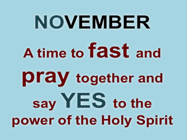# **NOVEMBER** A time to **fast** and pray together and say YES to the power of the Holy Spirit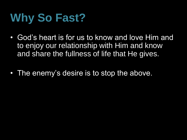# **Why So Fast?**

- God's heart is for us to know and love Him and to enjoy our relationship with Him and know and share the fullness of life that He gives.
- The enemy's desire is to stop the above.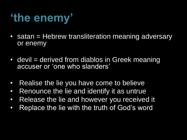#### **'the enemy'**

- satan = Hebrew transliteration meaning adversary or enemy
- devil = derived from diablos in Greek meaning accuser or 'one who slanders'
- Realise the lie you have come to believe
- Renounce the lie and identify it as untrue
- Release the lie and however you received it
- Replace the lie with the truth of God's word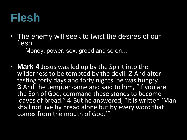#### **Flesh**

- The enemy will seek to twist the desires of our flesh
	- Money, power, sex, greed and so on…
- **Mark 4** Jesus was led up by the Spirit into the wilderness to be tempted by the devil. **2** And after fasting forty days and forty nights, he was hungry. **3** And the tempter came and said to him, "If you are the Son of God, command these stones to become loaves of bread." **4** But he answered, "It is written 'Man shall not live by bread alone but by every word that comes from the mouth of God.'"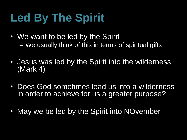# **Led By The Spirit**

- We want to be led by the Spirit – We usually think of this in terms of spiritual gifts
- Jesus was led by the Spirit into the wilderness (Mark 4)
- Does God sometimes lead us into a wilderness in order to achieve for us a greater purpose?
- May we be led by the Spirit into NOvember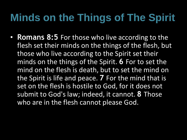#### **Minds on the Things of The Spirit**

• **Romans 8:5** For those who live according to the flesh set their minds on the things of the flesh, but those who live according to the Spirit set their minds on the things of the Spirit. **6** For to set the mind on the flesh is death, but to set the mind on the Spirit is life and peace. **7** For the mind that is set on the flesh is hostile to God, for it does not submit to God's law; indeed, it cannot. **8** Those who are in the flesh cannot please God.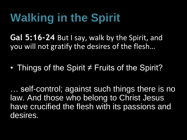### **Walking in the Spirit**

**Gal 5:16-24** But I say, walk by the Spirit, and you will not gratify the desires of the flesh…

• Things of the Spirit ≠ Fruits of the Spirit?

… self-control; against such things there is no law. And those who belong to Christ Jesus have crucified the flesh with its passions and desires.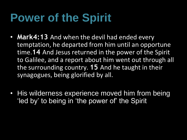#### **Power of the Spirit**

- **Mark4:13** And when the devil had ended every temptation, he departed from him until an opportune time.**14** And Jesus returned in the power of the Spirit to Galilee, and a report about him went out through all the surrounding country. **15** And he taught in their synagogues, being glorified by all.
- His wilderness experience moved him from being 'led by' to being in 'the power of' the Spirit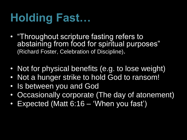## **Holding Fast…**

- "Throughout scripture fasting refers to abstaining from food for spiritual purposes" (Richard Foster, Celebration of Discipline).
- Not for physical benefits (e.g. to lose weight)
- Not a hunger strike to hold God to ransom!
- Is between you and God
- Occasionally corporate (The day of atonement)
- Expected (Matt 6:16 'When you fast')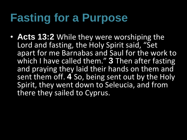#### **Fasting for a Purpose**

• **Acts 13:2** While they were worshiping the Lord and fasting, the Holy Spirit said, "Set apart for me Barnabas and Saul for the work to which I have called them." **3** Then after fasting and praying they laid their hands on them and sent them off. 4 So, being sent out by the Holy Spirit, they went down to Seleucia, and from there they sailed to Cyprus.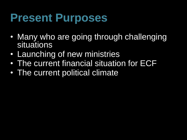#### **Present Purposes**

- Many who are going through challenging situations
- Launching of new ministries
- The current financial situation for ECF
- The current political climate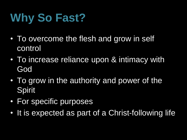# **Why So Fast?**

- To overcome the flesh and grow in self control
- To increase reliance upon & intimacy with God
- To grow in the authority and power of the Spirit
- For specific purposes
- It is expected as part of a Christ-following life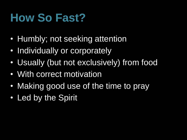#### **How So Fast?**

- Humbly; not seeking attention
- Individually or corporately
- Usually (but not exclusively) from food
- With correct motivation
- Making good use of the time to pray
- Led by the Spirit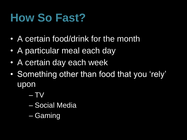#### **How So Fast?**

- A certain food/drink for the month
- A particular meal each day
- A certain day each week
- Something other than food that you 'rely' upon
	- TV
	- Social Media
	- Gaming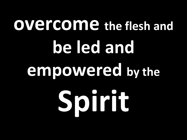# **overcome the flesh and be led and empowered by the Spirit**